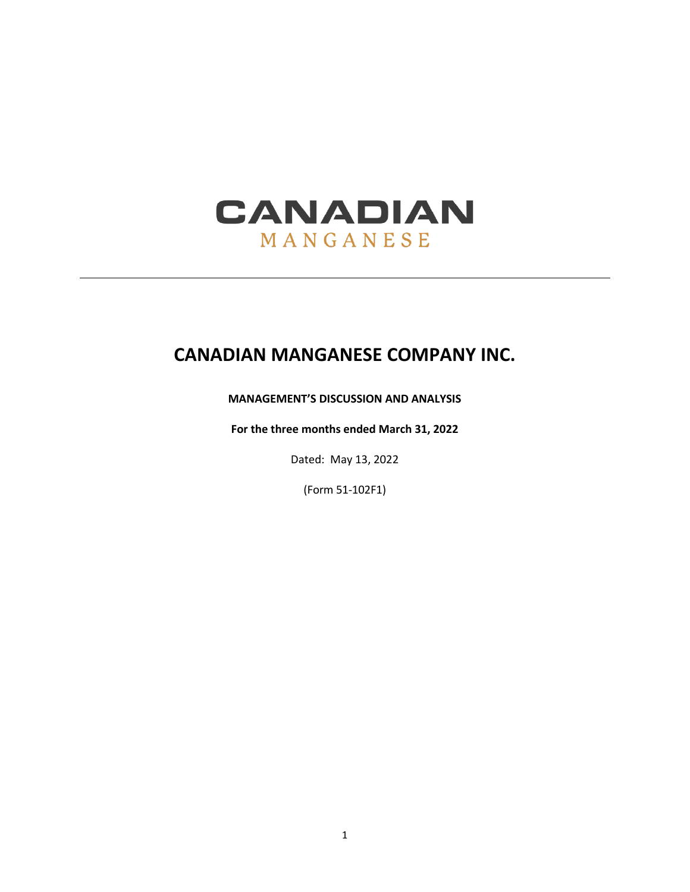

# **CANADIAN MANGANESE COMPANY INC.**

# **MANAGEMENT'S DISCUSSION AND ANALYSIS**

**For the three months ended March 31, 2022**

Dated: May 13, 2022

(Form 51-102F1)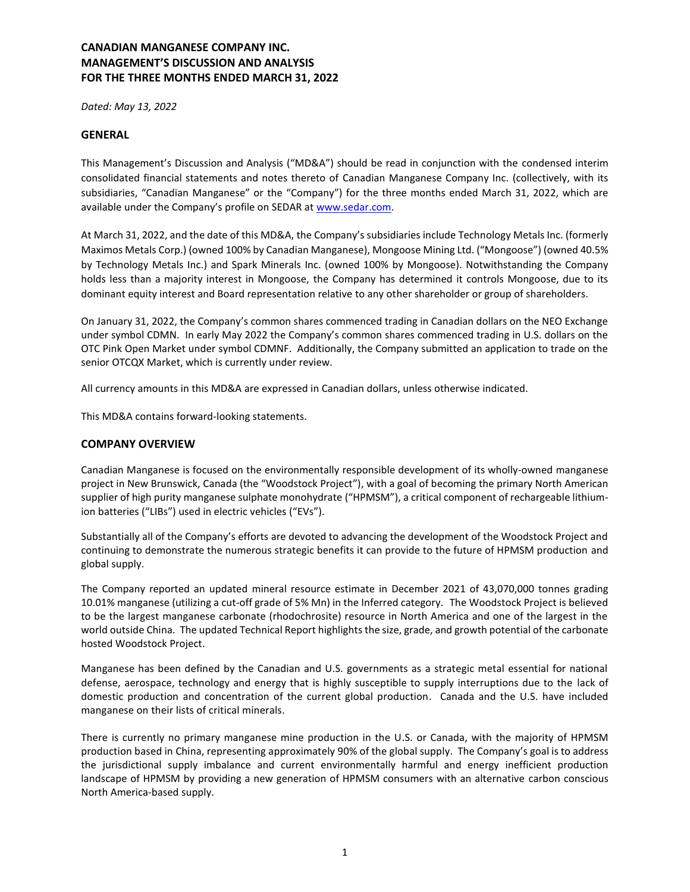*Dated: May 13, 2022*

#### **GENERAL**

This Management's Discussion and Analysis ("MD&A") should be read in conjunction with the condensed interim consolidated financial statements and notes thereto of Canadian Manganese Company Inc. (collectively, with its subsidiaries, "Canadian Manganese" or the "Company") for the three months ended March 31, 2022, which are available under the Company's profile on SEDAR at [www.sedar.com.](http://www.sedar.com/)

At March 31, 2022, and the date of this MD&A, the Company's subsidiaries include Technology Metals Inc. (formerly Maximos Metals Corp.) (owned 100% by Canadian Manganese), Mongoose Mining Ltd. ("Mongoose") (owned 40.5% by Technology Metals Inc.) and Spark Minerals Inc. (owned 100% by Mongoose). Notwithstanding the Company holds less than a majority interest in Mongoose, the Company has determined it controls Mongoose, due to its dominant equity interest and Board representation relative to any other shareholder or group of shareholders.

On January 31, 2022, the Company's common shares commenced trading in Canadian dollars on the NEO Exchange under symbol CDMN. In early May 2022 the Company's common shares commenced trading in U.S. dollars on the OTC Pink Open Market under symbol CDMNF. Additionally, the Company submitted an application to trade on the senior OTCQX Market, which is currently under review.

All currency amounts in this MD&A are expressed in Canadian dollars, unless otherwise indicated.

This MD&A contains forward-looking statements.

## **COMPANY OVERVIEW**

Canadian Manganese is focused on the environmentally responsible development of its wholly-owned manganese project in New Brunswick, Canada (the "Woodstock Project"), with a goal of becoming the primary North American supplier of high purity manganese sulphate monohydrate ("HPMSM"), a critical component of rechargeable lithiumion batteries ("LIBs") used in electric vehicles ("EVs").

Substantially all of the Company's efforts are devoted to advancing the development of the Woodstock Project and continuing to demonstrate the numerous strategic benefits it can provide to the future of HPMSM production and global supply.

The Company reported an updated mineral resource estimate in December 2021 of 43,070,000 tonnes grading 10.01% manganese (utilizing a cut-off grade of 5% Mn) in the Inferred category. The Woodstock Project is believed to be the largest manganese carbonate (rhodochrosite) resource in North America and one of the largest in the world outside China. The updated Technical Report highlights the size, grade, and growth potential of the carbonate hosted Woodstock Project.

Manganese has been defined by the Canadian and U.S. governments as a strategic metal essential for national defense, aerospace, technology and energy that is highly susceptible to supply interruptions due to the lack of domestic production and concentration of the current global production. Canada and the U.S. have included manganese on their lists of critical minerals.

There is currently no primary manganese mine production in the U.S. or Canada, with the majority of HPMSM production based in China, representing approximately 90% of the global supply. The Company's goal is to address the jurisdictional supply imbalance and current environmentally harmful and energy inefficient production landscape of HPMSM by providing a new generation of HPMSM consumers with an alternative carbon conscious North America-based supply.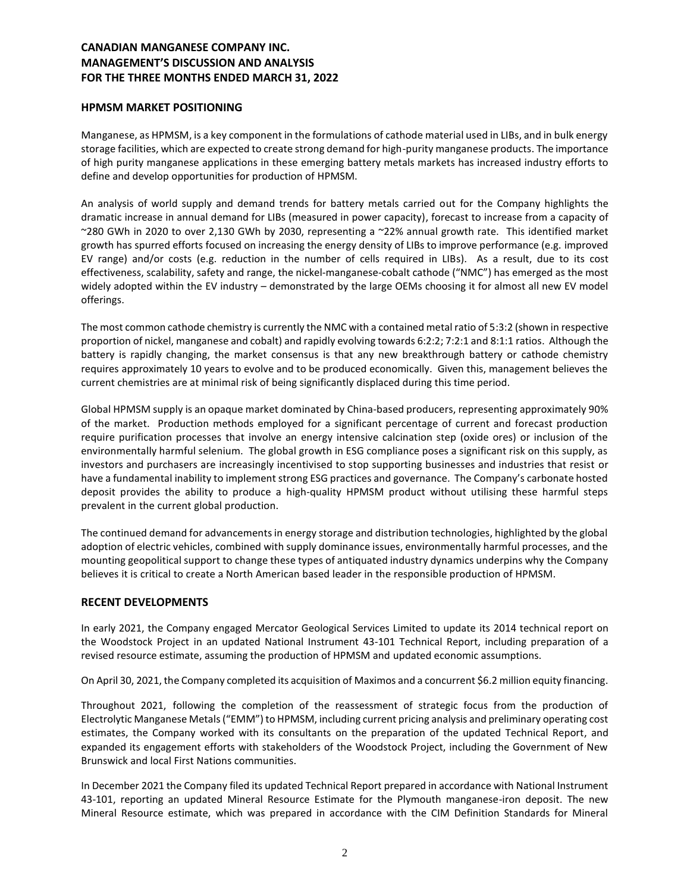## **HPMSM MARKET POSITIONING**

Manganese, as HPMSM, is a key component in the formulations of cathode material used in LIBs, and in bulk energy storage facilities, which are expected to create strong demand for high-purity manganese products. The importance of high purity manganese applications in these emerging battery metals markets has increased industry efforts to define and develop opportunities for production of HPMSM.

An analysis of world supply and demand trends for battery metals carried out for the Company highlights the dramatic increase in annual demand for LIBs (measured in power capacity), forecast to increase from a capacity of ~280 GWh in 2020 to over 2,130 GWh by 2030, representing a ~22% annual growth rate. This identified market growth has spurred efforts focused on increasing the energy density of LIBs to improve performance (e.g. improved EV range) and/or costs (e.g. reduction in the number of cells required in LIBs). As a result, due to its cost effectiveness, scalability, safety and range, the nickel-manganese-cobalt cathode ("NMC") has emerged as the most widely adopted within the EV industry – demonstrated by the large OEMs choosing it for almost all new EV model offerings.

The most common cathode chemistry is currently the NMC with a contained metal ratio of 5:3:2 (shown in respective proportion of nickel, manganese and cobalt) and rapidly evolving towards 6:2:2; 7:2:1 and 8:1:1 ratios. Although the battery is rapidly changing, the market consensus is that any new breakthrough battery or cathode chemistry requires approximately 10 years to evolve and to be produced economically. Given this, management believes the current chemistries are at minimal risk of being significantly displaced during this time period.

Global HPMSM supply is an opaque market dominated by China-based producers, representing approximately 90% of the market. Production methods employed for a significant percentage of current and forecast production require purification processes that involve an energy intensive calcination step (oxide ores) or inclusion of the environmentally harmful selenium. The global growth in ESG compliance poses a significant risk on this supply, as investors and purchasers are increasingly incentivised to stop supporting businesses and industries that resist or have a fundamental inability to implement strong ESG practices and governance. The Company's carbonate hosted deposit provides the ability to produce a high-quality HPMSM product without utilising these harmful steps prevalent in the current global production.

The continued demand for advancements in energy storage and distribution technologies, highlighted by the global adoption of electric vehicles, combined with supply dominance issues, environmentally harmful processes, and the mounting geopolitical support to change these types of antiquated industry dynamics underpins why the Company believes it is critical to create a North American based leader in the responsible production of HPMSM.

## **RECENT DEVELOPMENTS**

In early 2021, the Company engaged Mercator Geological Services Limited to update its 2014 technical report on the Woodstock Project in an updated National Instrument 43-101 Technical Report, including preparation of a revised resource estimate, assuming the production of HPMSM and updated economic assumptions.

On April 30, 2021, the Company completed its acquisition of Maximos and a concurrent \$6.2 million equity financing.

Throughout 2021, following the completion of the reassessment of strategic focus from the production of Electrolytic Manganese Metals ("EMM") to HPMSM, including current pricing analysis and preliminary operating cost estimates, the Company worked with its consultants on the preparation of the updated Technical Report, and expanded its engagement efforts with stakeholders of the Woodstock Project, including the Government of New Brunswick and local First Nations communities.

In December 2021 the Company filed its updated Technical Report prepared in accordance with National Instrument 43-101, reporting an updated Mineral Resource Estimate for the Plymouth manganese-iron deposit. The new Mineral Resource estimate, which was prepared in accordance with the CIM Definition Standards for Mineral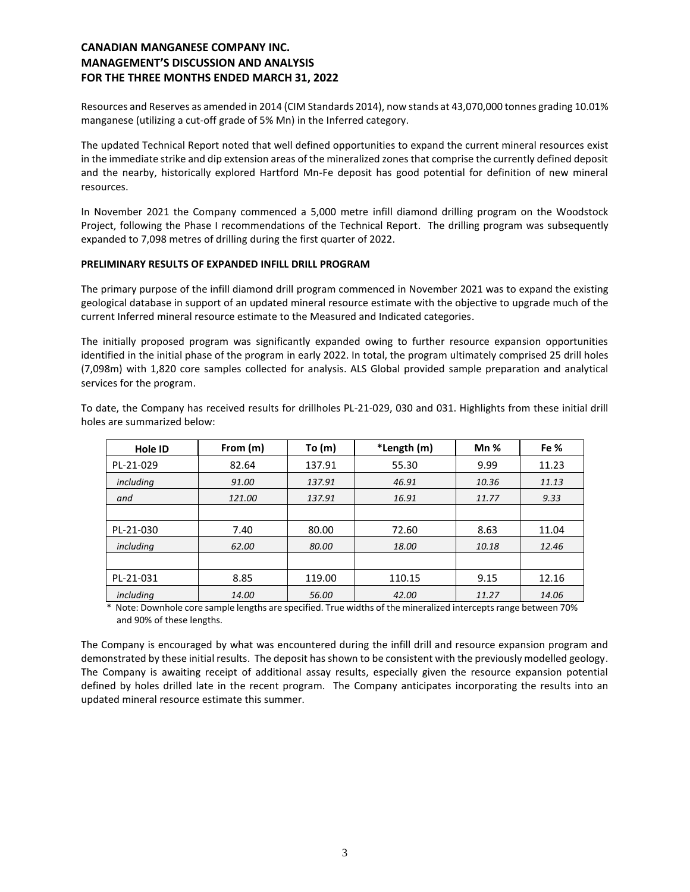Resources and Reserves as amended in 2014 (CIM Standards 2014), now stands at 43,070,000 tonnes grading 10.01% manganese (utilizing a cut-off grade of 5% Mn) in the Inferred category.

The updated Technical Report noted that well defined opportunities to expand the current mineral resources exist in the immediate strike and dip extension areas of the mineralized zones that comprise the currently defined deposit and the nearby, historically explored Hartford Mn-Fe deposit has good potential for definition of new mineral resources.

In November 2021 the Company commenced a 5,000 metre infill diamond drilling program on the Woodstock Project, following the Phase I recommendations of the Technical Report. The drilling program was subsequently expanded to 7,098 metres of drilling during the first quarter of 2022.

#### **PRELIMINARY RESULTS OF EXPANDED INFILL DRILL PROGRAM**

The primary purpose of the infill diamond drill program commenced in November 2021 was to expand the existing geological database in support of an updated mineral resource estimate with the objective to upgrade much of the current Inferred mineral resource estimate to the Measured and Indicated categories.

The initially proposed program was significantly expanded owing to further resource expansion opportunities identified in the initial phase of the program in early 2022. In total, the program ultimately comprised 25 drill holes (7,098m) with 1,820 core samples collected for analysis. ALS Global provided sample preparation and analytical services for the program.

To date, the Company has received results for drillholes PL-21-029, 030 and 031. Highlights from these initial drill holes are summarized below:

| Hole ID   | From (m) | To(m)  | *Length (m) | Mn%   | Fe %  |
|-----------|----------|--------|-------------|-------|-------|
| PL-21-029 | 82.64    | 137.91 | 55.30       | 9.99  | 11.23 |
| including | 91.00    | 137.91 | 46.91       | 10.36 | 11.13 |
| and       | 121.00   | 137.91 | 16.91       | 11.77 | 9.33  |
|           |          |        |             |       |       |
| PL-21-030 | 7.40     | 80.00  | 72.60       | 8.63  | 11.04 |
| including | 62.00    | 80.00  | 18.00       | 10.18 | 12.46 |
|           |          |        |             |       |       |
| PL-21-031 | 8.85     | 119.00 | 110.15      | 9.15  | 12.16 |
| including | 14.00    | 56.00  | 42.00       | 11.27 | 14.06 |

\* Note: Downhole core sample lengths are specified. True widths of the mineralized intercepts range between 70% and 90% of these lengths.

The Company is encouraged by what was encountered during the infill drill and resource expansion program and demonstrated by these initial results. The deposit has shown to be consistent with the previously modelled geology. The Company is awaiting receipt of additional assay results, especially given the resource expansion potential defined by holes drilled late in the recent program. The Company anticipates incorporating the results into an updated mineral resource estimate this summer.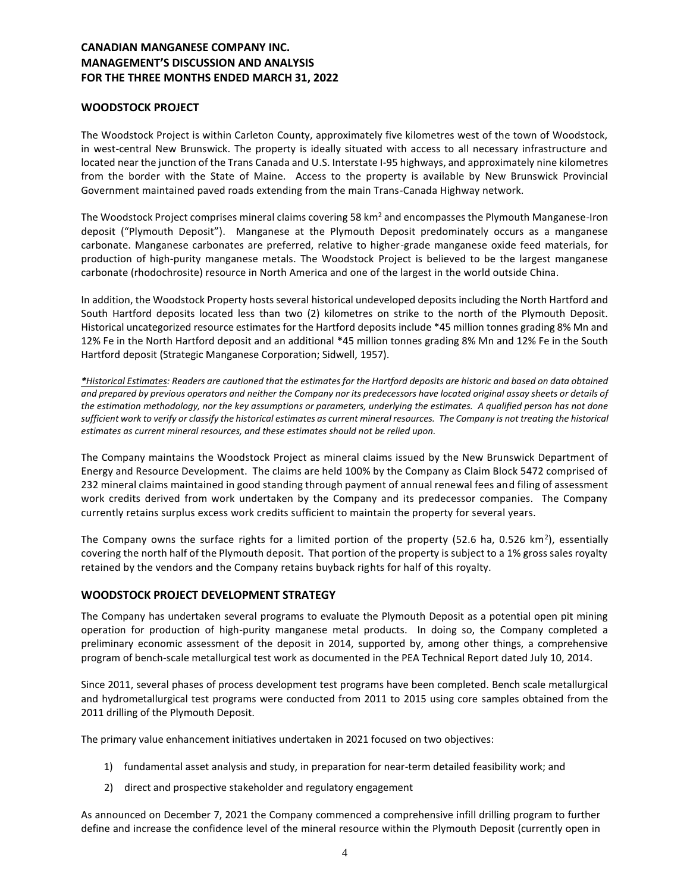## **WOODSTOCK PROJECT**

The Woodstock Project is within Carleton County, approximately five kilometres west of the town of Woodstock, in west-central New Brunswick. The property is ideally situated with access to all necessary infrastructure and located near the junction of the Trans Canada and U.S. Interstate I-95 highways, and approximately nine kilometres from the border with the State of Maine. Access to the property is available by New Brunswick Provincial Government maintained paved roads extending from the main Trans-Canada Highway network.

The Woodstock Project comprises mineral claims covering 58 km<sup>2</sup> and encompasses the Plymouth Manganese-Iron deposit ("Plymouth Deposit"). Manganese at the Plymouth Deposit predominately occurs as a manganese carbonate. Manganese carbonates are preferred, relative to higher-grade manganese oxide feed materials, for production of high-purity manganese metals. The Woodstock Project is believed to be the largest manganese carbonate (rhodochrosite) resource in North America and one of the largest in the world outside China.

In addition, the Woodstock Property hosts several historical undeveloped deposits including the North Hartford and South Hartford deposits located less than two (2) kilometres on strike to the north of the Plymouth Deposit. Historical uncategorized resource estimates for the Hartford deposits include \*45 million tonnes grading 8% Mn and 12% Fe in the North Hartford deposit and an additional **\***45 million tonnes grading 8% Mn and 12% Fe in the South Hartford deposit (Strategic Manganese Corporation; Sidwell, 1957).

*\*Historical Estimates: Readers are cautioned that the estimates for the Hartford deposits are historic and based on data obtained and prepared by previous operators and neither the Company nor its predecessors have located original assay sheets or details of the estimation methodology, nor the key assumptions or parameters, underlying the estimates. A qualified person has not done sufficient work to verify or classify the historical estimates as current mineral resources. The Company is not treating the historical estimates as current mineral resources, and these estimates should not be relied upon.*

The Company maintains the Woodstock Project as mineral claims issued by the New Brunswick Department of Energy and Resource Development. The claims are held 100% by the Company as Claim Block 5472 comprised of 232 mineral claims maintained in good standing through payment of annual renewal fees and filing of assessment work credits derived from work undertaken by the Company and its predecessor companies. The Company currently retains surplus excess work credits sufficient to maintain the property for several years.

The Company owns the surface rights for a limited portion of the property (52.6 ha, 0.526 km<sup>2</sup>), essentially covering the north half of the Plymouth deposit. That portion of the property is subject to a 1% gross sales royalty retained by the vendors and the Company retains buyback rights for half of this royalty.

## **WOODSTOCK PROJECT DEVELOPMENT STRATEGY**

The Company has undertaken several programs to evaluate the Plymouth Deposit as a potential open pit mining operation for production of high-purity manganese metal products. In doing so, the Company completed a preliminary economic assessment of the deposit in 2014, supported by, among other things, a comprehensive program of bench-scale metallurgical test work as documented in the PEA Technical Report dated July 10, 2014.

Since 2011, several phases of process development test programs have been completed. Bench scale metallurgical and hydrometallurgical test programs were conducted from 2011 to 2015 using core samples obtained from the 2011 drilling of the Plymouth Deposit.

The primary value enhancement initiatives undertaken in 2021 focused on two objectives:

- 1) fundamental asset analysis and study, in preparation for near-term detailed feasibility work; and
- 2) direct and prospective stakeholder and regulatory engagement

As announced on December 7, 2021 the Company commenced a comprehensive infill drilling program to further define and increase the confidence level of the mineral resource within the Plymouth Deposit (currently open in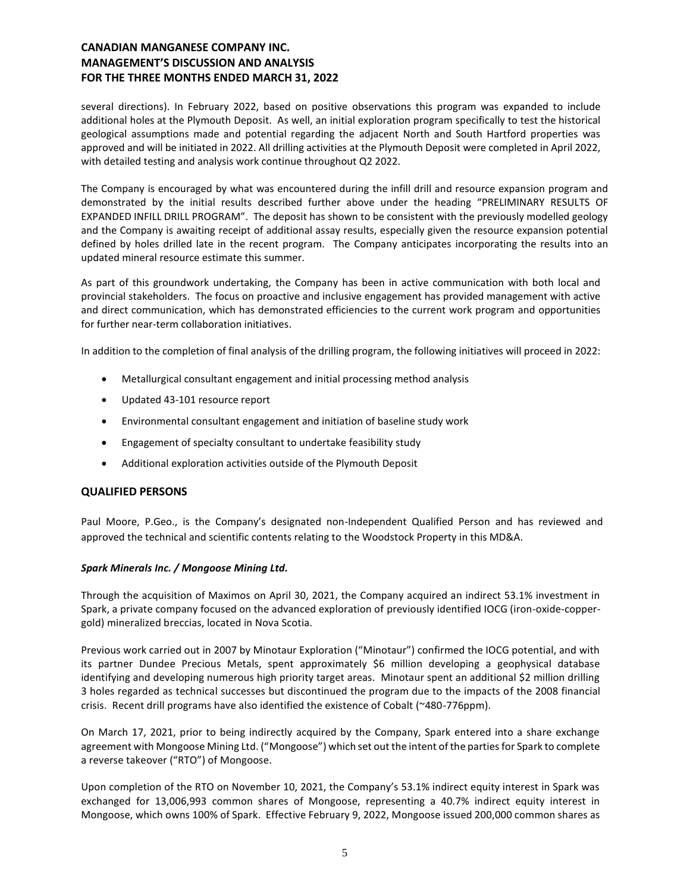several directions). In February 2022, based on positive observations this program was expanded to include additional holes at the Plymouth Deposit. As well, an initial exploration program specifically to test the historical geological assumptions made and potential regarding the adjacent North and South Hartford properties was approved and will be initiated in 2022. All drilling activities at the Plymouth Deposit were completed in April 2022, with detailed testing and analysis work continue throughout Q2 2022.

The Company is encouraged by what was encountered during the infill drill and resource expansion program and demonstrated by the initial results described further above under the heading "PRELIMINARY RESULTS OF EXPANDED INFILL DRILL PROGRAM". The deposit has shown to be consistent with the previously modelled geology and the Company is awaiting receipt of additional assay results, especially given the resource expansion potential defined by holes drilled late in the recent program. The Company anticipates incorporating the results into an updated mineral resource estimate this summer.

As part of this groundwork undertaking, the Company has been in active communication with both local and provincial stakeholders. The focus on proactive and inclusive engagement has provided management with active and direct communication, which has demonstrated efficiencies to the current work program and opportunities for further near-term collaboration initiatives.

In addition to the completion of final analysis of the drilling program, the following initiatives will proceed in 2022:

- Metallurgical consultant engagement and initial processing method analysis
- Updated 43-101 resource report
- Environmental consultant engagement and initiation of baseline study work
- Engagement of specialty consultant to undertake feasibility study
- Additional exploration activities outside of the Plymouth Deposit

#### **QUALIFIED PERSONS**

Paul Moore, P.Geo., is the Company's designated non-Independent Qualified Person and has reviewed and approved the technical and scientific contents relating to the Woodstock Property in this MD&A.

#### *Spark Minerals Inc. / Mongoose Mining Ltd.*

Through the acquisition of Maximos on April 30, 2021, the Company acquired an indirect 53.1% investment in Spark, a private company focused on the advanced exploration of previously identified IOCG (iron-oxide-coppergold) mineralized breccias, located in Nova Scotia.

Previous work carried out in 2007 by Minotaur Exploration ("Minotaur") confirmed the IOCG potential, and with its partner Dundee Precious Metals, spent approximately \$6 million developing a geophysical database identifying and developing numerous high priority target areas. Minotaur spent an additional \$2 million drilling 3 holes regarded as technical successes but discontinued the program due to the impacts of the 2008 financial crisis. Recent drill programs have also identified the existence of Cobalt (~480-776ppm).

On March 17, 2021, prior to being indirectly acquired by the Company, Spark entered into a share exchange agreement with Mongoose Mining Ltd. ("Mongoose") which set out the intent of the parties for Spark to complete a reverse takeover ("RTO") of Mongoose.

Upon completion of the RTO on November 10, 2021, the Company's 53.1% indirect equity interest in Spark was exchanged for 13,006,993 common shares of Mongoose, representing a 40.7% indirect equity interest in Mongoose, which owns 100% of Spark. Effective February 9, 2022, Mongoose issued 200,000 common shares as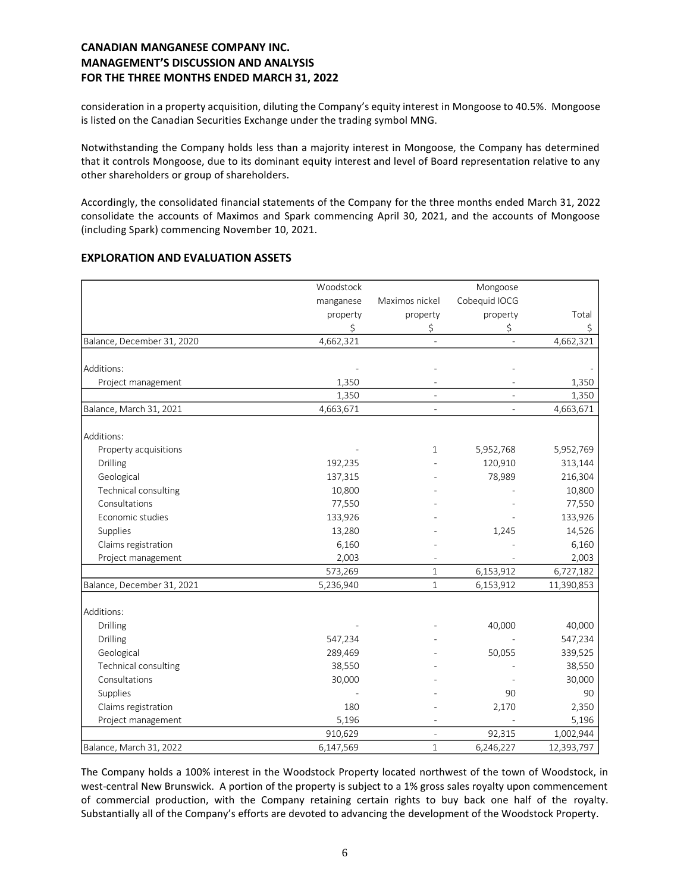consideration in a property acquisition, diluting the Company's equity interest in Mongoose to 40.5%. Mongoose is listed on the Canadian Securities Exchange under the trading symbol MNG.

Notwithstanding the Company holds less than a majority interest in Mongoose, the Company has determined that it controls Mongoose, due to its dominant equity interest and level of Board representation relative to any other shareholders or group of shareholders.

Accordingly, the consolidated financial statements of the Company for the three months ended March 31, 2022 consolidate the accounts of Maximos and Spark commencing April 30, 2021, and the accounts of Mongoose (including Spark) commencing November 10, 2021.

|                            | Woodstock |                | Mongoose      |             |  |
|----------------------------|-----------|----------------|---------------|-------------|--|
|                            | manganese | Maximos nickel | Cobequid IOCG |             |  |
|                            | property  | property       | property      | Total<br>\$ |  |
|                            | \$        | \$             | \$            |             |  |
| Balance, December 31, 2020 | 4,662,321 |                |               | 4,662,321   |  |
| Additions:                 |           |                |               |             |  |
| Project management         | 1,350     |                |               | 1,350       |  |
|                            | 1,350     |                |               | 1,350       |  |
| Balance, March 31, 2021    | 4,663,671 |                |               | 4,663,671   |  |
| Additions:                 |           |                |               |             |  |
| Property acquisitions      |           | 1              | 5,952,768     | 5,952,769   |  |
| Drilling                   | 192,235   |                | 120,910       | 313,144     |  |
| Geological                 | 137,315   |                | 78,989        | 216,304     |  |
| Technical consulting       | 10,800    |                |               | 10,800      |  |
| Consultations              | 77,550    |                |               | 77,550      |  |
| Economic studies           | 133,926   |                |               | 133,926     |  |
| Supplies                   | 13,280    |                | 1,245         | 14,526      |  |
| Claims registration        | 6,160     |                |               | 6,160       |  |
| Project management         | 2,003     |                |               | 2,003       |  |
|                            | 573,269   | $\mathbf{1}$   | 6,153,912     | 6,727,182   |  |
| Balance, December 31, 2021 | 5,236,940 | $\mathbf{1}$   | 6,153,912     | 11,390,853  |  |
| Additions:                 |           |                |               |             |  |
| Drilling                   |           |                | 40,000        | 40,000      |  |
| Drilling                   | 547,234   |                |               | 547,234     |  |
| Geological                 | 289,469   |                | 50,055        | 339,525     |  |
| Technical consulting       | 38,550    |                |               | 38,550      |  |
| Consultations              | 30,000    |                |               | 30,000      |  |
| Supplies                   |           |                | 90            | 90          |  |
| Claims registration        | 180       |                | 2,170         | 2,350       |  |
| Project management         | 5,196     |                |               | 5,196       |  |
|                            | 910,629   | $\overline{a}$ | 92,315        | 1,002,944   |  |
| Balance, March 31, 2022    | 6,147,569 | $\mathbf{1}$   | 6,246,227     | 12,393,797  |  |

## **EXPLORATION AND EVALUATION ASSETS**

The Company holds a 100% interest in the Woodstock Property located northwest of the town of Woodstock, in west-central New Brunswick. A portion of the property is subject to a 1% gross sales royalty upon commencement of commercial production, with the Company retaining certain rights to buy back one half of the royalty. Substantially all of the Company's efforts are devoted to advancing the development of the Woodstock Property.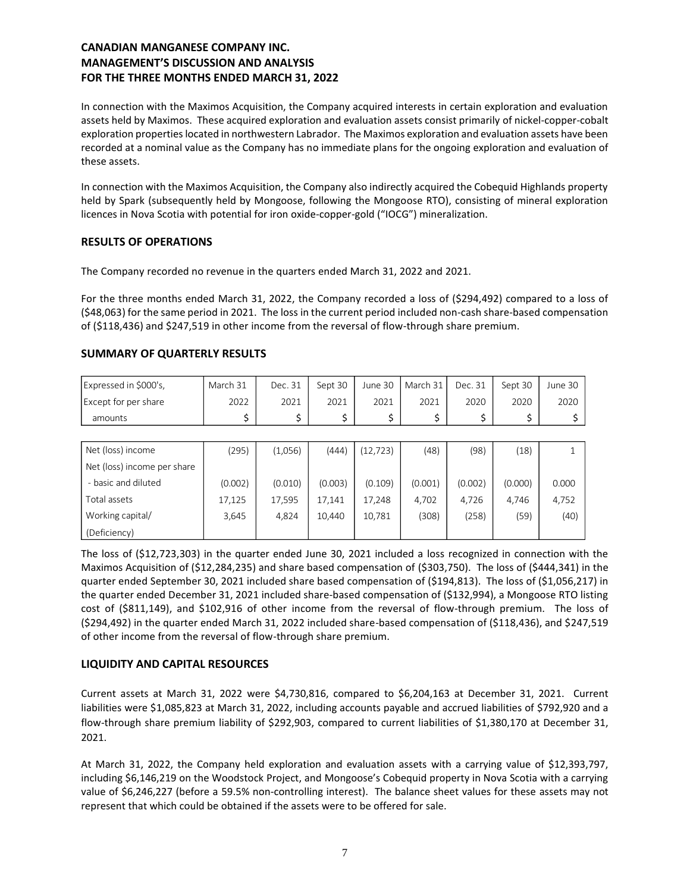In connection with the Maximos Acquisition, the Company acquired interests in certain exploration and evaluation assets held by Maximos. These acquired exploration and evaluation assets consist primarily of nickel-copper-cobalt exploration properties located in northwestern Labrador. The Maximos exploration and evaluation assets have been recorded at a nominal value as the Company has no immediate plans for the ongoing exploration and evaluation of these assets.

In connection with the Maximos Acquisition, the Company also indirectly acquired the Cobequid Highlands property held by Spark (subsequently held by Mongoose, following the Mongoose RTO), consisting of mineral exploration licences in Nova Scotia with potential for iron oxide-copper-gold ("IOCG") mineralization.

## **RESULTS OF OPERATIONS**

The Company recorded no revenue in the quarters ended March 31, 2022 and 2021.

For the three months ended March 31, 2022, the Company recorded a loss of (\$294,492) compared to a loss of (\$48,063) for the same period in 2021. The loss in the current period included non-cash share-based compensation of (\$118,436) and \$247,519 in other income from the reversal of flow-through share premium.

## **SUMMARY OF QUARTERLY RESULTS**

| Expressed in \$000's, | March 31 | Dec. 31 | Sept 30 |      | June 30   March 31 | Dec. 31 | Sept 30 | June 30 |
|-----------------------|----------|---------|---------|------|--------------------|---------|---------|---------|
| Except for per share  | 2022     | 2021    | 2021    | 2021 | 2021               | 2020    | 2020    | 2020    |
| amounts               |          |         |         |      |                    |         |         |         |

| Net (loss) income           | (295)   | (1,056) | (444)   | (12, 723) | (48)    | (98)    | (18)    |       |
|-----------------------------|---------|---------|---------|-----------|---------|---------|---------|-------|
| Net (loss) income per share |         |         |         |           |         |         |         |       |
| - basic and diluted         | (0.002) | (0.010) | (0.003) | (0.109)   | (0.001) | (0.002) | (0.000) | 0.000 |
| Total assets                | 17,125  | 17,595  | 17.141  | 17,248    | 4,702   | 4.726   | 4.746   | 4,752 |
| Working capital/            | 3,645   | 4.824   | 10.440  | 10,781    | (308)   | (258)   | (59)    | (40)  |
| (Deficiency)                |         |         |         |           |         |         |         |       |

The loss of (\$12,723,303) in the quarter ended June 30, 2021 included a loss recognized in connection with the Maximos Acquisition of (\$12,284,235) and share based compensation of (\$303,750). The loss of (\$444,341) in the quarter ended September 30, 2021 included share based compensation of (\$194,813). The loss of (\$1,056,217) in the quarter ended December 31, 2021 included share-based compensation of (\$132,994), a Mongoose RTO listing cost of (\$811,149), and \$102,916 of other income from the reversal of flow-through premium. The loss of (\$294,492) in the quarter ended March 31, 2022 included share-based compensation of (\$118,436), and \$247,519 of other income from the reversal of flow-through share premium.

## **LIQUIDITY AND CAPITAL RESOURCES**

Current assets at March 31, 2022 were \$4,730,816, compared to \$6,204,163 at December 31, 2021. Current liabilities were \$1,085,823 at March 31, 2022, including accounts payable and accrued liabilities of \$792,920 and a flow-through share premium liability of \$292,903, compared to current liabilities of \$1,380,170 at December 31, 2021.

At March 31, 2022, the Company held exploration and evaluation assets with a carrying value of \$12,393,797, including \$6,146,219 on the Woodstock Project, and Mongoose's Cobequid property in Nova Scotia with a carrying value of \$6,246,227 (before a 59.5% non-controlling interest). The balance sheet values for these assets may not represent that which could be obtained if the assets were to be offered for sale.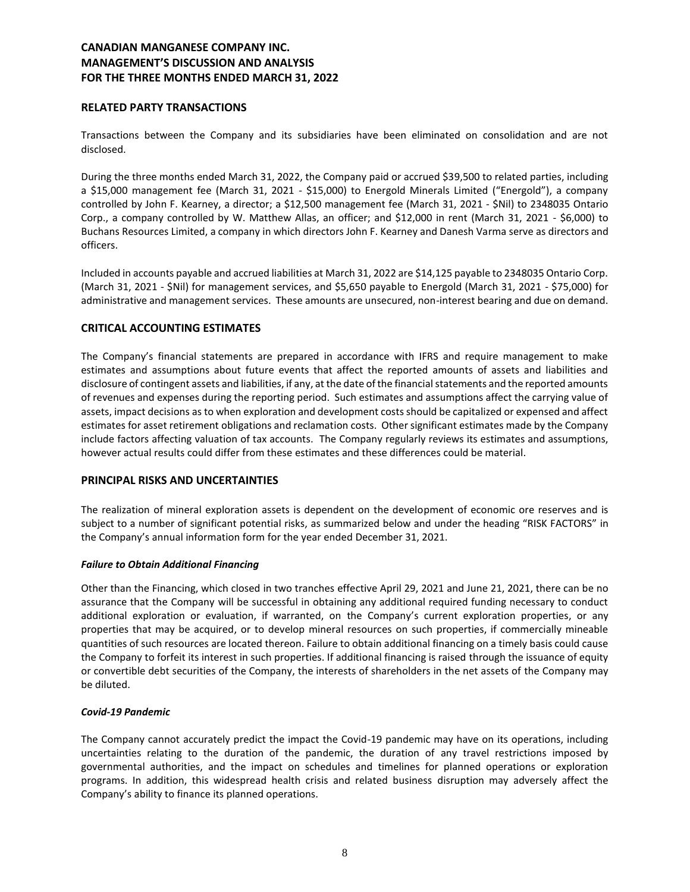## **RELATED PARTY TRANSACTIONS**

Transactions between the Company and its subsidiaries have been eliminated on consolidation and are not disclosed.

During the three months ended March 31, 2022, the Company paid or accrued \$39,500 to related parties, including a \$15,000 management fee (March 31, 2021 - \$15,000) to Energold Minerals Limited ("Energold"), a company controlled by John F. Kearney, a director; a \$12,500 management fee (March 31, 2021 - \$Nil) to 2348035 Ontario Corp., a company controlled by W. Matthew Allas, an officer; and \$12,000 in rent (March 31, 2021 - \$6,000) to Buchans Resources Limited, a company in which directors John F. Kearney and Danesh Varma serve as directors and officers.

Included in accounts payable and accrued liabilities at March 31, 2022 are \$14,125 payable to 2348035 Ontario Corp. (March 31, 2021 - \$Nil) for management services, and \$5,650 payable to Energold (March 31, 2021 - \$75,000) for administrative and management services. These amounts are unsecured, non-interest bearing and due on demand.

## **CRITICAL ACCOUNTING ESTIMATES**

The Company's financial statements are prepared in accordance with IFRS and require management to make estimates and assumptions about future events that affect the reported amounts of assets and liabilities and disclosure of contingent assets and liabilities, if any, at the date of the financial statements and the reported amounts of revenues and expenses during the reporting period. Such estimates and assumptions affect the carrying value of assets, impact decisions as to when exploration and development costs should be capitalized or expensed and affect estimates for asset retirement obligations and reclamation costs. Other significant estimates made by the Company include factors affecting valuation of tax accounts. The Company regularly reviews its estimates and assumptions, however actual results could differ from these estimates and these differences could be material.

## **PRINCIPAL RISKS AND UNCERTAINTIES**

The realization of mineral exploration assets is dependent on the development of economic ore reserves and is subject to a number of significant potential risks, as summarized below and under the heading "RISK FACTORS" in the Company's annual information form for the year ended December 31, 2021.

## *Failure to Obtain Additional Financing*

Other than the Financing, which closed in two tranches effective April 29, 2021 and June 21, 2021, there can be no assurance that the Company will be successful in obtaining any additional required funding necessary to conduct additional exploration or evaluation, if warranted, on the Company's current exploration properties, or any properties that may be acquired, or to develop mineral resources on such properties, if commercially mineable quantities of such resources are located thereon. Failure to obtain additional financing on a timely basis could cause the Company to forfeit its interest in such properties. If additional financing is raised through the issuance of equity or convertible debt securities of the Company, the interests of shareholders in the net assets of the Company may be diluted.

#### *Covid-19 Pandemic*

The Company cannot accurately predict the impact the Covid-19 pandemic may have on its operations, including uncertainties relating to the duration of the pandemic, the duration of any travel restrictions imposed by governmental authorities, and the impact on schedules and timelines for planned operations or exploration programs. In addition, this widespread health crisis and related business disruption may adversely affect the Company's ability to finance its planned operations.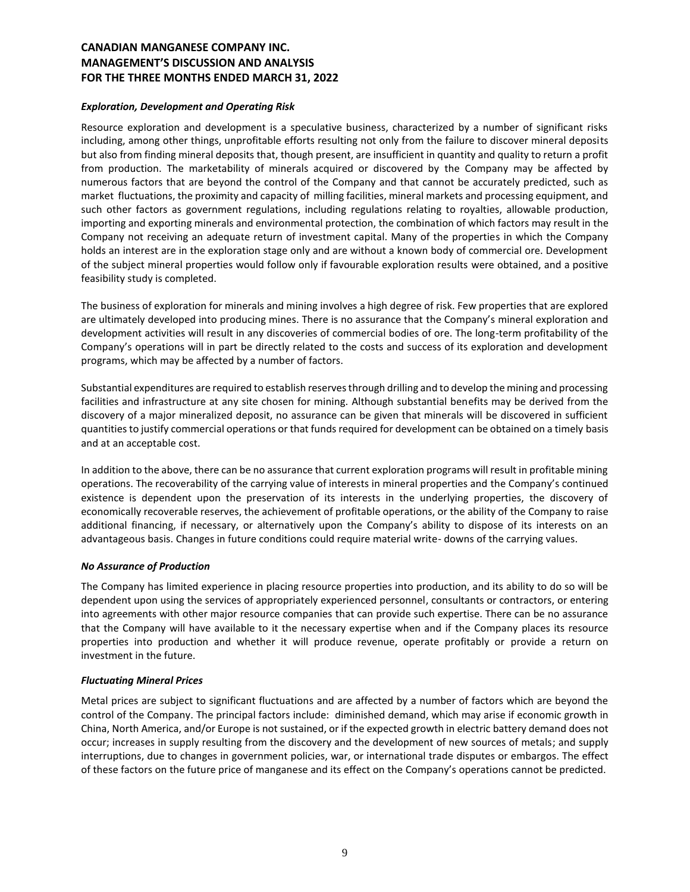#### *Exploration, Development and Operating Risk*

Resource exploration and development is a speculative business, characterized by a number of significant risks including, among other things, unprofitable efforts resulting not only from the failure to discover mineral deposits but also from finding mineral deposits that, though present, are insufficient in quantity and quality to return a profit from production. The marketability of minerals acquired or discovered by the Company may be affected by numerous factors that are beyond the control of the Company and that cannot be accurately predicted, such as market fluctuations, the proximity and capacity of milling facilities, mineral markets and processing equipment, and such other factors as government regulations, including regulations relating to royalties, allowable production, importing and exporting minerals and environmental protection, the combination of which factors may result in the Company not receiving an adequate return of investment capital. Many of the properties in which the Company holds an interest are in the exploration stage only and are without a known body of commercial ore. Development of the subject mineral properties would follow only if favourable exploration results were obtained, and a positive feasibility study is completed.

The business of exploration for minerals and mining involves a high degree of risk. Few properties that are explored are ultimately developed into producing mines. There is no assurance that the Company's mineral exploration and development activities will result in any discoveries of commercial bodies of ore. The long-term profitability of the Company's operations will in part be directly related to the costs and success of its exploration and development programs, which may be affected by a number of factors.

Substantial expenditures are required to establish reserves through drilling and to develop the mining and processing facilities and infrastructure at any site chosen for mining. Although substantial benefits may be derived from the discovery of a major mineralized deposit, no assurance can be given that minerals will be discovered in sufficient quantities to justify commercial operations or that funds required for development can be obtained on a timely basis and at an acceptable cost.

In addition to the above, there can be no assurance that current exploration programs will result in profitable mining operations. The recoverability of the carrying value of interests in mineral properties and the Company's continued existence is dependent upon the preservation of its interests in the underlying properties, the discovery of economically recoverable reserves, the achievement of profitable operations, or the ability of the Company to raise additional financing, if necessary, or alternatively upon the Company's ability to dispose of its interests on an advantageous basis. Changes in future conditions could require material write- downs of the carrying values.

## *No Assurance of Production*

The Company has limited experience in placing resource properties into production, and its ability to do so will be dependent upon using the services of appropriately experienced personnel, consultants or contractors, or entering into agreements with other major resource companies that can provide such expertise. There can be no assurance that the Company will have available to it the necessary expertise when and if the Company places its resource properties into production and whether it will produce revenue, operate profitably or provide a return on investment in the future.

#### *Fluctuating Mineral Prices*

Metal prices are subject to significant fluctuations and are affected by a number of factors which are beyond the control of the Company. The principal factors include: diminished demand, which may arise if economic growth in China, North America, and/or Europe is not sustained, or if the expected growth in electric battery demand does not occur; increases in supply resulting from the discovery and the development of new sources of metals; and supply interruptions, due to changes in government policies, war, or international trade disputes or embargos. The effect of these factors on the future price of manganese and its effect on the Company's operations cannot be predicted.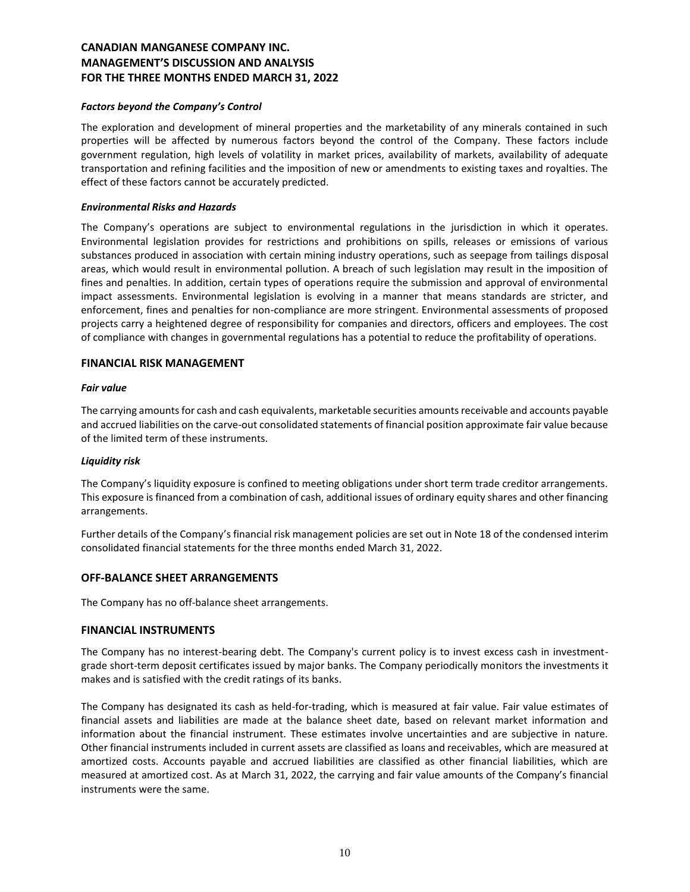#### *Factors beyond the Company's Control*

The exploration and development of mineral properties and the marketability of any minerals contained in such properties will be affected by numerous factors beyond the control of the Company. These factors include government regulation, high levels of volatility in market prices, availability of markets, availability of adequate transportation and refining facilities and the imposition of new or amendments to existing taxes and royalties. The effect of these factors cannot be accurately predicted.

#### *Environmental Risks and Hazards*

The Company's operations are subject to environmental regulations in the jurisdiction in which it operates. Environmental legislation provides for restrictions and prohibitions on spills, releases or emissions of various substances produced in association with certain mining industry operations, such as seepage from tailings disposal areas, which would result in environmental pollution. A breach of such legislation may result in the imposition of fines and penalties. In addition, certain types of operations require the submission and approval of environmental impact assessments. Environmental legislation is evolving in a manner that means standards are stricter, and enforcement, fines and penalties for non-compliance are more stringent. Environmental assessments of proposed projects carry a heightened degree of responsibility for companies and directors, officers and employees. The cost of compliance with changes in governmental regulations has a potential to reduce the profitability of operations.

#### **FINANCIAL RISK MANAGEMENT**

#### *Fair value*

The carrying amounts for cash and cash equivalents, marketable securities amounts receivable and accounts payable and accrued liabilities on the carve-out consolidated statements of financial position approximate fair value because of the limited term of these instruments.

#### *Liquidity risk*

The Company's liquidity exposure is confined to meeting obligations under short term trade creditor arrangements. This exposure is financed from a combination of cash, additional issues of ordinary equity shares and other financing arrangements.

Further details of the Company's financial risk management policies are set out in Note 18 of the condensed interim consolidated financial statements for the three months ended March 31, 2022.

## **OFF-BALANCE SHEET ARRANGEMENTS**

The Company has no off-balance sheet arrangements.

#### **FINANCIAL INSTRUMENTS**

The Company has no interest-bearing debt. The Company's current policy is to invest excess cash in investmentgrade short-term deposit certificates issued by major banks. The Company periodically monitors the investments it makes and is satisfied with the credit ratings of its banks.

The Company has designated its cash as held-for-trading, which is measured at fair value. Fair value estimates of financial assets and liabilities are made at the balance sheet date, based on relevant market information and information about the financial instrument. These estimates involve uncertainties and are subjective in nature. Other financial instruments included in current assets are classified as loans and receivables, which are measured at amortized costs. Accounts payable and accrued liabilities are classified as other financial liabilities, which are measured at amortized cost. As at March 31, 2022, the carrying and fair value amounts of the Company's financial instruments were the same.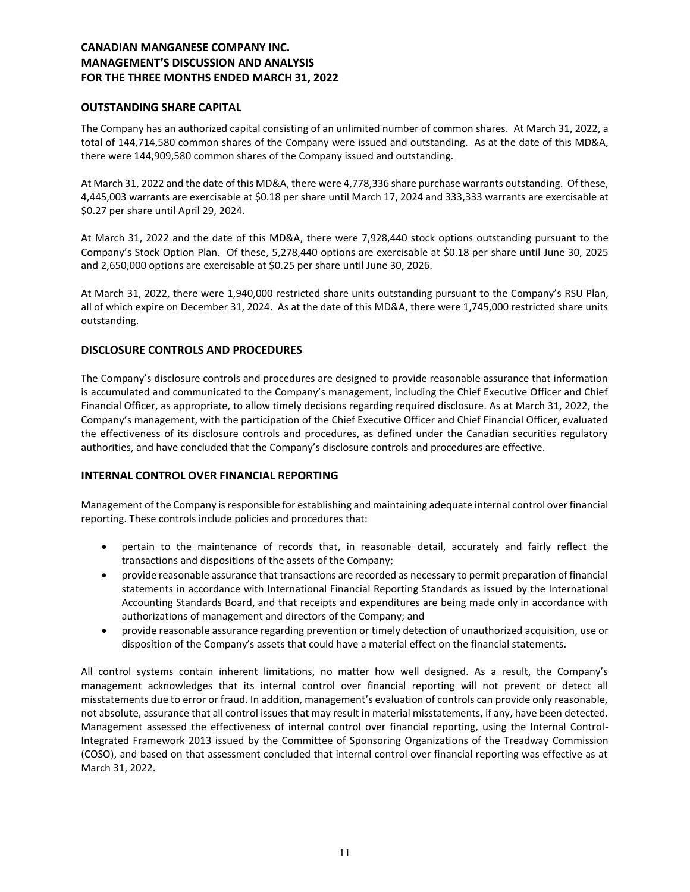## **OUTSTANDING SHARE CAPITAL**

The Company has an authorized capital consisting of an unlimited number of common shares. At March 31, 2022, a total of 144,714,580 common shares of the Company were issued and outstanding. As at the date of this MD&A, there were 144,909,580 common shares of the Company issued and outstanding.

At March 31, 2022 and the date of this MD&A, there were 4,778,336 share purchase warrants outstanding. Of these, 4,445,003 warrants are exercisable at \$0.18 per share until March 17, 2024 and 333,333 warrants are exercisable at \$0.27 per share until April 29, 2024.

At March 31, 2022 and the date of this MD&A, there were 7,928,440 stock options outstanding pursuant to the Company's Stock Option Plan. Of these, 5,278,440 options are exercisable at \$0.18 per share until June 30, 2025 and 2,650,000 options are exercisable at \$0.25 per share until June 30, 2026.

At March 31, 2022, there were 1,940,000 restricted share units outstanding pursuant to the Company's RSU Plan, all of which expire on December 31, 2024. As at the date of this MD&A, there were 1,745,000 restricted share units outstanding.

## **DISCLOSURE CONTROLS AND PROCEDURES**

The Company's disclosure controls and procedures are designed to provide reasonable assurance that information is accumulated and communicated to the Company's management, including the Chief Executive Officer and Chief Financial Officer, as appropriate, to allow timely decisions regarding required disclosure. As at March 31, 2022, the Company's management, with the participation of the Chief Executive Officer and Chief Financial Officer, evaluated the effectiveness of its disclosure controls and procedures, as defined under the Canadian securities regulatory authorities, and have concluded that the Company's disclosure controls and procedures are effective.

## **INTERNAL CONTROL OVER FINANCIAL REPORTING**

Management of the Company is responsible for establishing and maintaining adequate internal control over financial reporting. These controls include policies and procedures that:

- pertain to the maintenance of records that, in reasonable detail, accurately and fairly reflect the transactions and dispositions of the assets of the Company;
- provide reasonable assurance that transactions are recorded as necessary to permit preparation of financial statements in accordance with International Financial Reporting Standards as issued by the International Accounting Standards Board, and that receipts and expenditures are being made only in accordance with authorizations of management and directors of the Company; and
- provide reasonable assurance regarding prevention or timely detection of unauthorized acquisition, use or disposition of the Company's assets that could have a material effect on the financial statements.

All control systems contain inherent limitations, no matter how well designed. As a result, the Company's management acknowledges that its internal control over financial reporting will not prevent or detect all misstatements due to error or fraud. In addition, management's evaluation of controls can provide only reasonable, not absolute, assurance that all control issues that may result in material misstatements, if any, have been detected. Management assessed the effectiveness of internal control over financial reporting, using the Internal Control-Integrated Framework 2013 issued by the Committee of Sponsoring Organizations of the Treadway Commission (COSO), and based on that assessment concluded that internal control over financial reporting was effective as at March 31, 2022.